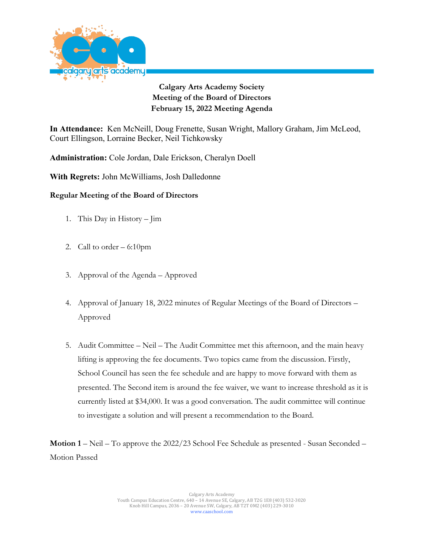

**Calgary Arts Academy Society Meeting of the Board of Directors February 15, 2022 Meeting Agenda**

**In Attendance:** Ken McNeill, Doug Frenette, Susan Wright, Mallory Graham, Jim McLeod, Court Ellingson, Lorraine Becker, Neil Tichkowsky

**Administration:** Cole Jordan, Dale Erickson, Cheralyn Doell

**With Regrets:** John McWilliams, Josh Dalledonne

## **Regular Meeting of the Board of Directors**

- 1. This Day in History Jim
- 2. Call to order 6:10pm
- 3. Approval of the Agenda Approved
- 4. Approval of January 18, 2022 minutes of Regular Meetings of the Board of Directors Approved
- 5. Audit Committee Neil The Audit Committee met this afternoon, and the main heavy lifting is approving the fee documents. Two topics came from the discussion. Firstly, School Council has seen the fee schedule and are happy to move forward with them as presented. The Second item is around the fee waiver, we want to increase threshold as it is currently listed at \$34,000. It was a good conversation. The audit committee will continue to investigate a solution and will present a recommendation to the Board.

**Motion 1** – Neil – To approve the 2022/23 School Fee Schedule as presented - Susan Seconded – Motion Passed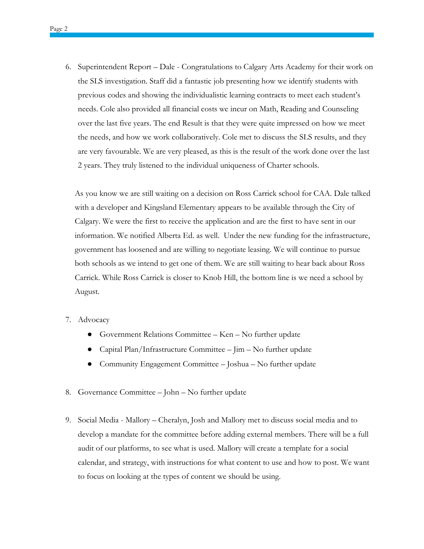6. Superintendent Report – Dale - Congratulations to Calgary Arts Academy for their work on the SLS investigation. Staff did a fantastic job presenting how we identify students with previous codes and showing the individualistic learning contracts to meet each student's needs. Cole also provided all financial costs we incur on Math, Reading and Counseling over the last five years. The end Result is that they were quite impressed on how we meet the needs, and how we work collaboratively. Cole met to discuss the SLS results, and they are very favourable. We are very pleased, as this is the result of the work done over the last 2 years. They truly listened to the individual uniqueness of Charter schools.

As you know we are still waiting on a decision on Ross Carrick school for CAA. Dale talked with a developer and Kingsland Elementary appears to be available through the City of Calgary. We were the first to receive the application and are the first to have sent in our information. We notified Alberta Ed. as well. Under the new funding for the infrastructure, government has loosened and are willing to negotiate leasing. We will continue to pursue both schools as we intend to get one of them. We are still waiting to hear back about Ross Carrick. While Ross Carrick is closer to Knob Hill, the bottom line is we need a school by August.

## 7. Advocacy

- Government Relations Committee Ken No further update
- Capital Plan/Infrastructure Committee  $-j$ im  $-$  No further update
- Community Engagement Committee Joshua No further update
- 8. Governance Committee John No further update
- 9. Social Media Mallory Cheralyn, Josh and Mallory met to discuss social media and to develop a mandate for the committee before adding external members. There will be a full audit of our platforms, to see what is used. Mallory will create a template for a social calendar, and strategy, with instructions for what content to use and how to post. We want to focus on looking at the types of content we should be using.